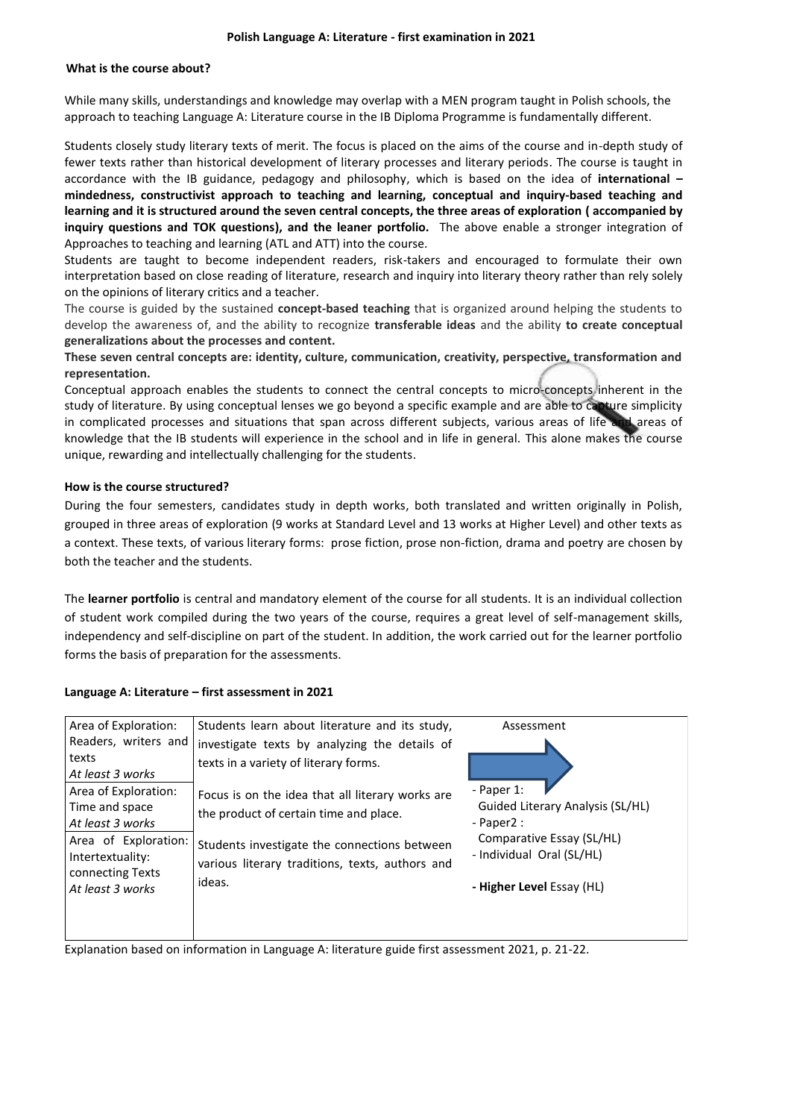#### **Polish Language A: Literature - first examination in 2021**

### **What is the course about?**

While many skills, understandings and knowledge may overlap with a MEN program taught in Polish schools, the approach to teaching Language A: Literature course in the IB Diploma Programme is fundamentally different.

Students closely study literary texts of merit. The focus is placed on the aims of the course and in-depth study of fewer texts rather than historical development of literary processes and literary periods. The course is taught in accordance with the IB guidance, pedagogy and philosophy, which is based on the idea of **international – mindedness, constructivist approach to teaching and learning, conceptual and inquiry-based teaching and learning and it is structured around the seven central concepts, the three areas of exploration ( accompanied by inquiry questions and TOK questions), and the leaner portfolio.** The above enable a stronger integration of Approaches to teaching and learning (ATL and ATT) into the course.

Students are taught to become independent readers, risk-takers and encouraged to formulate their own interpretation based on close reading of literature, research and inquiry into literary theory rather than rely solely on the opinions of literary critics and a teacher.

The course is guided by the sustained **concept-based teaching** that is organized around helping the students to develop the awareness of, and the ability to recognize **transferable ideas** and the ability **to create conceptual generalizations about the processes and content.** 

**These seven central concepts are: identity, culture, communication, creativity, perspective, transformation and representation.**

Conceptual approach enables the students to connect the central concepts to micro-concepts inherent in the study of literature. By using conceptual lenses we go beyond a specific example and are able to capture simplicity in complicated processes and situations that span across different subjects, various areas of life and areas of knowledge that the IB students will experience in the school and in life in general. This alone makes the course unique, rewarding and intellectually challenging for the students.

#### **How is the course structured?**

During the four semesters, candidates study in depth works, both translated and written originally in Polish, grouped in three areas of exploration (9 works at Standard Level and 13 works at Higher Level) and other texts as a context. These texts, of various literary forms: prose fiction, prose non-fiction, drama and poetry are chosen by both the teacher and the students.

The **learner portfolio** is central and mandatory element of the course for all students. It is an individual collection of student work compiled during the two years of the course, requires a great level of self-management skills, independency and self-discipline on part of the student. In addition, the work carried out for the learner portfolio forms the basis of preparation for the assessments.

#### **Language A: Literature – first assessment in 2021**

| Area of Exploration:                 | Students learn about literature and its study,   | Assessment                       |
|--------------------------------------|--------------------------------------------------|----------------------------------|
| Readers, writers and                 | investigate texts by analyzing the details of    |                                  |
| texts<br>At least 3 works            | texts in a variety of literary forms.            |                                  |
| Area of Exploration:                 | Focus is on the idea that all literary works are | - Paper 1:                       |
| Time and space                       | the product of certain time and place.           | Guided Literary Analysis (SL/HL) |
| At least 3 works                     |                                                  | $-$ Paper2 :                     |
| Area of Exploration:                 | Students investigate the connections between     | Comparative Essay (SL/HL)        |
| Intertextuality:                     | various literary traditions, texts, authors and  | - Individual Oral (SL/HL)        |
| connecting Texts<br>At least 3 works | ideas.                                           | - Higher Level Essay (HL)        |
|                                      |                                                  |                                  |
|                                      |                                                  |                                  |

Explanation based on information in Language A: literature guide first assessment 2021, p. 21-22.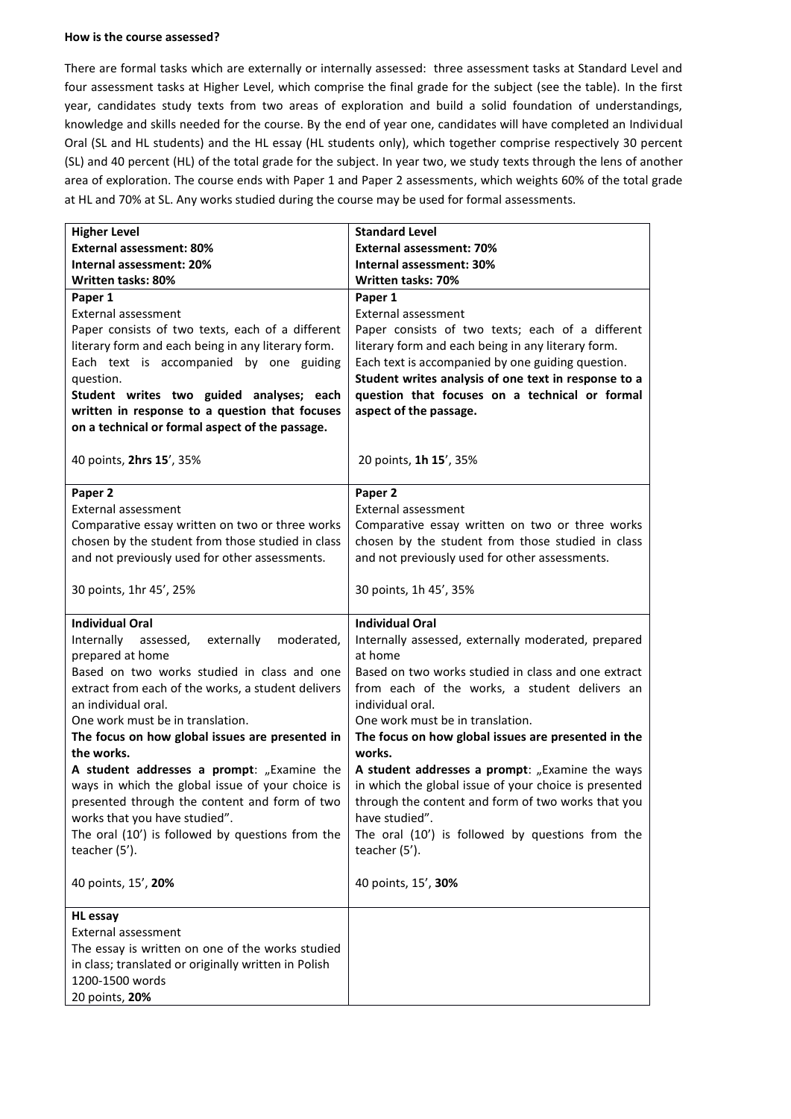#### **How is the course assessed?**

There are formal tasks which are externally or internally assessed: three assessment tasks at Standard Level and four assessment tasks at Higher Level, which comprise the final grade for the subject (see the table). In the first year, candidates study texts from two areas of exploration and build a solid foundation of understandings, knowledge and skills needed for the course. By the end of year one, candidates will have completed an Individual Oral (SL and HL students) and the HL essay (HL students only), which together comprise respectively 30 percent (SL) and 40 percent (HL) of the total grade for the subject. In year two, we study texts through the lens of another area of exploration. The course ends with Paper 1 and Paper 2 assessments, which weights 60% of the total grade at HL and 70% at SL. Any works studied during the course may be used for formal assessments.

| <b>Higher Level</b>                                  | <b>Standard Level</b>                                 |  |
|------------------------------------------------------|-------------------------------------------------------|--|
| <b>External assessment: 80%</b>                      | <b>External assessment: 70%</b>                       |  |
| Internal assessment: 20%                             | Internal assessment: 30%                              |  |
| Written tasks: 80%                                   | Written tasks: 70%                                    |  |
| Paper 1                                              | Paper 1                                               |  |
| External assessment                                  | External assessment                                   |  |
| Paper consists of two texts, each of a different     | Paper consists of two texts; each of a different      |  |
| literary form and each being in any literary form.   | literary form and each being in any literary form.    |  |
| Each text is accompanied by one guiding              | Each text is accompanied by one guiding question.     |  |
| question.                                            | Student writes analysis of one text in response to a  |  |
| Student writes two guided analyses; each             | question that focuses on a technical or formal        |  |
| written in response to a question that focuses       | aspect of the passage.                                |  |
| on a technical or formal aspect of the passage.      |                                                       |  |
|                                                      |                                                       |  |
| 40 points, 2hrs 15', 35%                             | 20 points, 1h 15', 35%                                |  |
|                                                      |                                                       |  |
| Paper 2                                              | Paper 2                                               |  |
| External assessment                                  | External assessment                                   |  |
| Comparative essay written on two or three works      | Comparative essay written on two or three works       |  |
| chosen by the student from those studied in class    | chosen by the student from those studied in class     |  |
| and not previously used for other assessments.       | and not previously used for other assessments.        |  |
|                                                      |                                                       |  |
| 30 points, 1hr 45', 25%                              | 30 points, 1h 45', 35%                                |  |
|                                                      |                                                       |  |
| <b>Individual Oral</b>                               |                                                       |  |
|                                                      | <b>Individual Oral</b>                                |  |
| moderated,<br>Internally assessed,<br>externally     | Internally assessed, externally moderated, prepared   |  |
| prepared at home                                     | at home                                               |  |
| Based on two works studied in class and one          | Based on two works studied in class and one extract   |  |
| extract from each of the works, a student delivers   | from each of the works, a student delivers an         |  |
| an individual oral.                                  | individual oral.                                      |  |
| One work must be in translation.                     | One work must be in translation.                      |  |
| The focus on how global issues are presented in      | The focus on how global issues are presented in the   |  |
| the works.                                           | works.                                                |  |
| A student addresses a prompt: "Examine the           | A student addresses a prompt: "Examine the ways       |  |
| ways in which the global issue of your choice is     | in which the global issue of your choice is presented |  |
| presented through the content and form of two        | through the content and form of two works that you    |  |
| works that you have studied".                        | have studied".                                        |  |
| The oral (10') is followed by questions from the     | The oral (10') is followed by questions from the      |  |
| teacher (5').                                        | teacher (5').                                         |  |
|                                                      |                                                       |  |
| 40 points, 15', 20%                                  | 40 points, 15', 30%                                   |  |
|                                                      |                                                       |  |
| <b>HL</b> essay                                      |                                                       |  |
| External assessment                                  |                                                       |  |
| The essay is written on one of the works studied     |                                                       |  |
| in class; translated or originally written in Polish |                                                       |  |
| 1200-1500 words                                      |                                                       |  |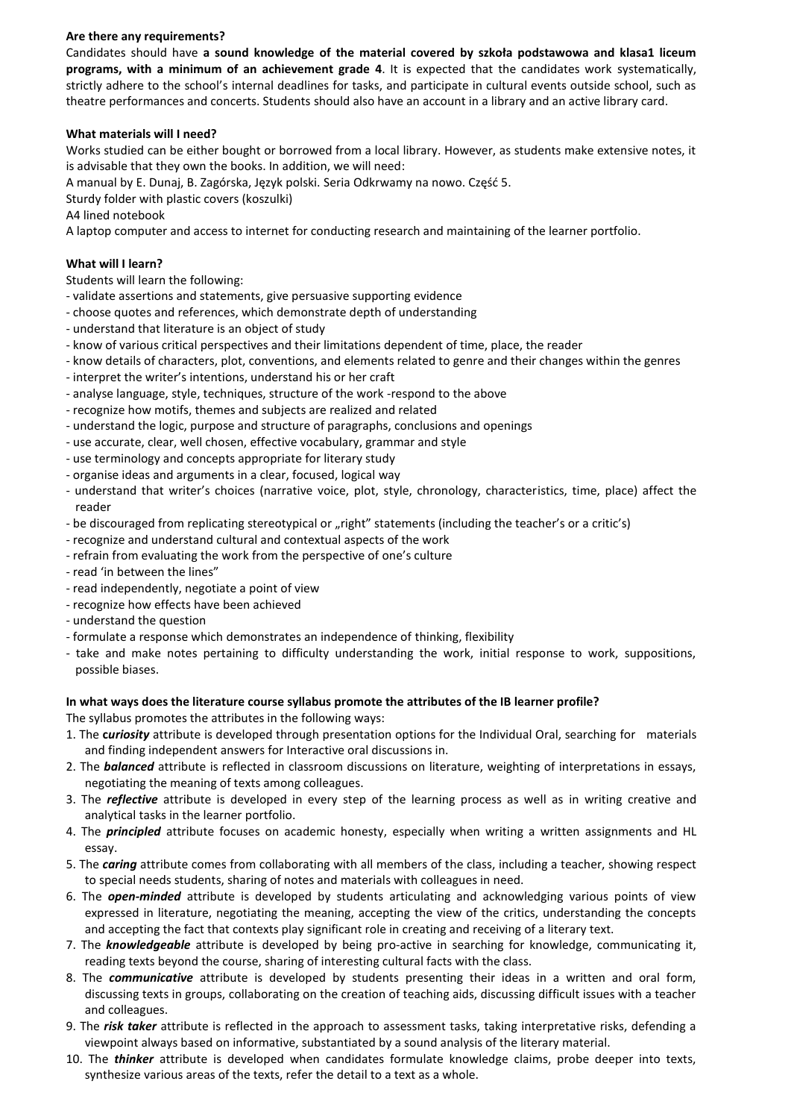# **Are there any requirements?**

Candidates should have **a sound knowledge of the material covered by szkoła podstawowa and klasa1 liceum programs, with a minimum of an achievement grade 4**. It is expected that the candidates work systematically, strictly adhere to the school's internal deadlines for tasks, and participate in cultural events outside school, such as theatre performances and concerts. Students should also have an account in a library and an active library card.

## **What materials will I need?**

Works studied can be either bought or borrowed from a local library. However, as students make extensive notes, it is advisable that they own the books. In addition, we will need:

A manual by E. Dunaj, B. Zagórska, Język polski. Seria Odkrwamy na nowo. Częśd 5.

Sturdy folder with plastic covers (koszulki)

A4 lined notebook

A laptop computer and access to internet for conducting research and maintaining of the learner portfolio.

# **What will I learn?**

Students will learn the following:

- validate assertions and statements, give persuasive supporting evidence
- choose quotes and references, which demonstrate depth of understanding
- understand that literature is an object of study
- know of various critical perspectives and their limitations dependent of time, place, the reader
- know details of characters, plot, conventions, and elements related to genre and their changes within the genres
- interpret the writer's intentions, understand his or her craft
- analyse language, style, techniques, structure of the work -respond to the above
- recognize how motifs, themes and subjects are realized and related
- understand the logic, purpose and structure of paragraphs, conclusions and openings
- use accurate, clear, well chosen, effective vocabulary, grammar and style
- use terminology and concepts appropriate for literary study
- organise ideas and arguments in a clear, focused, logical way
- understand that writer's choices (narrative voice, plot, style, chronology, characteristics, time, place) affect the reader
- be discouraged from replicating stereotypical or "right" statements (including the teacher's or a critic's)
- recognize and understand cultural and contextual aspects of the work
- refrain from evaluating the work from the perspective of one's culture
- read 'in between the lines"
- read independently, negotiate a point of view
- recognize how effects have been achieved
- understand the question
- formulate a response which demonstrates an independence of thinking, flexibility
- take and make notes pertaining to difficulty understanding the work, initial response to work, suppositions, possible biases.

# **In what ways does the literature course syllabus promote the attributes of the IB learner profile?**

The syllabus promotes the attributes in the following ways:

- 1. The **c***uriosity* attribute is developed through presentation options for the Individual Oral, searching for materials and finding independent answers for Interactive oral discussions in.
- 2. The *balanced* attribute is reflected in classroom discussions on literature, weighting of interpretations in essays, negotiating the meaning of texts among colleagues.
- 3. The *reflective* attribute is developed in every step of the learning process as well as in writing creative and analytical tasks in the learner portfolio.
- 4. The *principled* attribute focuses on academic honesty, especially when writing a written assignments and HL essay.
- 5. The *caring* attribute comes from collaborating with all members of the class, including a teacher, showing respect to special needs students, sharing of notes and materials with colleagues in need.
- 6. The *open-minded* attribute is developed by students articulating and acknowledging various points of view expressed in literature, negotiating the meaning, accepting the view of the critics, understanding the concepts and accepting the fact that contexts play significant role in creating and receiving of a literary text.
- 7. The *knowledgeable* attribute is developed by being pro-active in searching for knowledge, communicating it, reading texts beyond the course, sharing of interesting cultural facts with the class.
- 8. The *communicative* attribute is developed by students presenting their ideas in a written and oral form, discussing texts in groups, collaborating on the creation of teaching aids, discussing difficult issues with a teacher and colleagues.
- 9. The *risk taker* attribute is reflected in the approach to assessment tasks, taking interpretative risks, defending a viewpoint always based on informative, substantiated by a sound analysis of the literary material.
- 10. The *thinker* attribute is developed when candidates formulate knowledge claims, probe deeper into texts, synthesize various areas of the texts, refer the detail to a text as a whole.